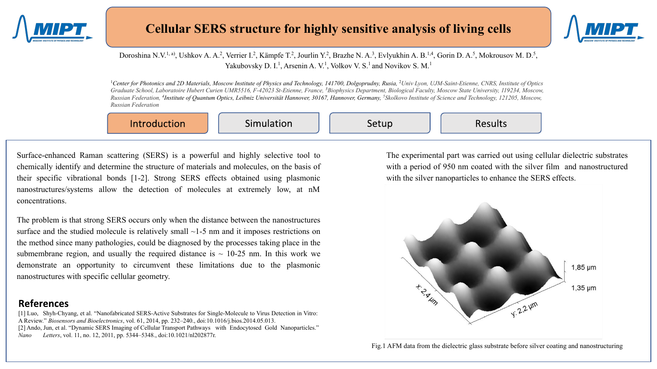



#### Doroshina N.V.<sup>1, a)</sup>, Ushkov A. A.<sup>2</sup>, Verrier I.<sup>2</sup>, Kämpfe T.<sup>2</sup>, Jourlin Y.<sup>2</sup>, Brazhe N. A.<sup>3</sup>, Evlyukhin A. B.<sup>1,4</sup>, Gorin D. A.<sup>5</sup>, Mokrousov M. D.<sup>5</sup>, Yakubovsky D. I.<sup>1</sup>, Arsenin A. V.<sup>1</sup>, Volkov V. S.<sup>1</sup> and Novikov S. M.<sup>1</sup>

<sup>1</sup>Center for Photonics and 2D Materials, Moscow Institute of Physics and Technology, 141700, Dolgoprudny, Rusia, <sup>2</sup>Univ Lyon, UJM-Saint-Etienne, CNRS, Institute of Optics Graduate School, Laboratoire Hubert Curien UMR5516, F-42023 St-Etienne, France, <sup>3</sup>Biophysics Department, Biological Faculty, Moscow State University, 119234, Moscow, *Russian Federation, <sup>4</sup> Institute of Quantum Optics, Leibniz Universität Hannover, 30167, Hannover, Germany, <sup>5</sup> Skolkovo Institute of Science and Technology, 121205, Moscow, Russian Federation*

Introduction

Simulation

Setup

Results

Surface-enhanced Raman scattering (SERS) is a powerful and highly selective tool to chemically identify and determine the structure of materials and molecules, on the basis of their specific vibrational bonds [1-2]. Strong SERS effects obtained using plasmonic nanostructures/systems allow the detection of molecules at extremely low, at nM concentrations.

The problem is that strong SERS occurs only when the distance between the nanostructures surface and the studied molecule is relatively small  $\sim$ 1-5 nm and it imposes restrictions on the method since many pathologies, could be diagnosed by the processes taking place in the submembrane region, and usually the required distance is  $\sim$  10-25 nm. In this work we demonstrate an opportunity to circumvent these limitations due to the plasmonic nanostructures with specific cellular geometry.

## **References**

[1] Luo, Shyh-Chyang, et al. "Nanofabricated SERS-Active Substrates for Single-Molecule to Virus Detection in Vitro: A Review." *Biosensors and Bioelectronics*, vol. 61, 2014, pp. 232–240., doi:10.1016/j.bios.2014.05.013. [2] Ando, Jun, et al. "Dynamic SERS Imaging of Cellular Transport Pathways with Endocytosed Gold Nanoparticles." *Nano Letters*, vol. 11, no. 12, 2011, pp. 5344–5348., doi:10.1021/nl202877r.

The experimental part was carried out using cellular dielectric substrates with a period of 950 nm coated with the silver film and nanostructured with the silver nanoparticles to enhance the SERS effects.

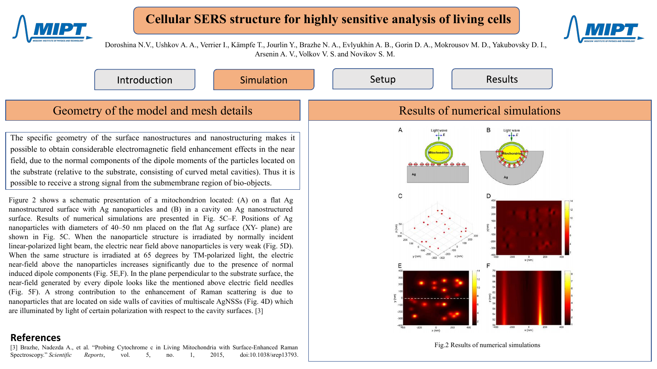

## **Cellular SERS structure for highly sensitive analysis of living cells**



Doroshina N.V., Ushkov A. A., Verrier I., Kämpfe T., Jourlin Y., Brazhe N. A., Evlyukhin A. B., Gorin D. A., Mokrousov M. D., Yakubovsky D. I., Arsenin A. V., Volkov V. S. and Novikov S. M.

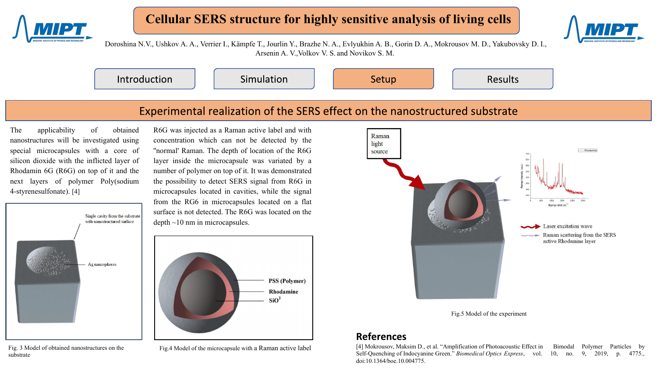

# **Cellular SERS structure for highly sensitive analysis of living cells**



Doroshina N.V., Ushkov A. A., Verrier I., Kämpfe T., Jourlin Y., Brazhe N. A., Evlyukhin A. B., Gorin D. A., Mokrousov M. D., Yakubovsky D. I., Arsenin A. V.,Volkov V. S. and Novikov S. M.

Introduction

Simulation

Setup

Results

## Experimental realization of the SERS effect on the nanostructured substrate

The applicability of obtained nanostructures will be investigated using special microcapsules with a core of silicon dioxide with the inflicted layer of Rhodamin 6G (R6G) on top of it and the next layers of polymer Poly(sodium 4-styrenesulfonate). [4]

R6G was injected as a Raman active label and with concentration which can not be detected by the ''normal' Raman. The depth of location of the R6G layer inside the microcapsule was variated by a number of polymer on top of it. It was demonstrated the possibility to detect SERS signal from R6G in microcapsules located in cavities, while the signal from the RG6 in microcapsules located on a flat surface is not detected. The R6G was located on the depth ~10 nm in microcapsules.



Fig. 3 Model of obtained nanostructures on the substrate

**PSS (Polymer)** Rhodamine  $SiO<sup>2</sup>$ 





## **References**

Fig.4 Model of the microcapsule with a Raman active label [4] Mokrousov, Maksim D., et al. "Amplification of Photoacoustic Effect in Bimodal Polymer Particles by<br>Self-Quenching of Indocvanine Green." Biomedical Ontics Expr Self-Quenching of Indocyanine Green." *Biomedical Optics Express*, vol. 10, no. doi:10.1364/boe.10.004775.